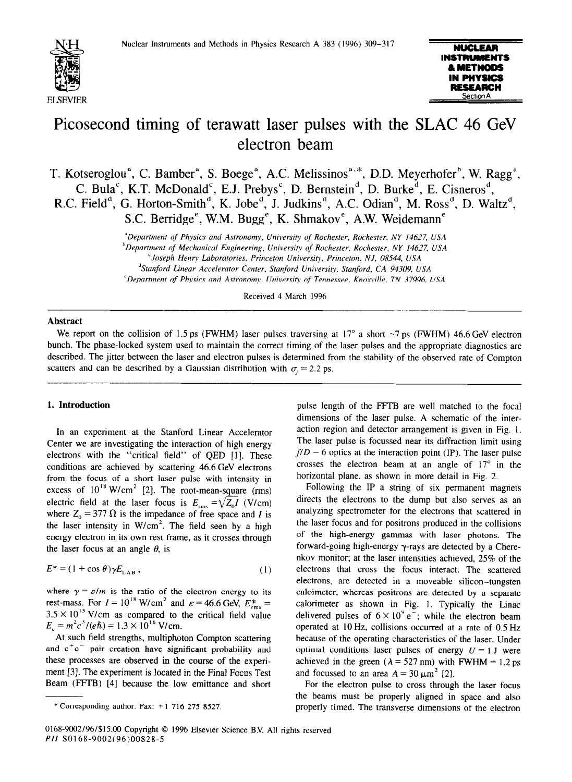



# Picosecond timing of terawatt laser pulses with the SLAC 46 GeV electron beam

T. Kotseroglou<sup>a</sup>, C. Bamber<sup>a</sup>, S. Boege<sup>a</sup>, A.C. Melissinos<sup>a, \*</sup>, D.D. Meyerhofer<sup>b</sup>, W. Ragg<sup>a</sup>, C. Bula`, K.T. McDonald`, E.J. Prebys`, D. Bernstein`', D. Burke<sup>o'</sup>, E. Cisneros<sup>o</sup>, R.C. Field", G. Horton-Smith", K. Jobe", J. Judkins", A.C. Odian", M. Ross", D. Waltz", S.C. Berridge<sup>e</sup>, W.M. Bugg<sup>e</sup>, K. Shmakov<sup>e</sup>, A.W. Weidemann<sup>e</sup>

*"Department of Physics and Astronomy, University of Rochester, Rochester. NY 14627, USA* 

*hDepartment of Mechanicul Engineering, University qf Rochester. Rochester, NY 146-77, USA* 

*"Stanford Linear Accelerator Center, Stanford Unibaersity. Stanford. CA 94309. USA* 

*'Department of Physics and Artronomy, University of* Tennessee, Kno.wille. *TN 37996, USA* 

Received 4 March 1996

### **Abstract**

We report on the collision of 1.5 ps (FWHM) laser pulses traversing at 17 $\degree$  a short  $\sim$ 7 ps (FWHM) 46.6 GeV electron bunch. The phase-locked system used to maintain the correct timing of the laser pulses and the appropriate diagnostics are described. The jitter between the laser and electron pulses is determined from the stability of the observed rate of Compton scatters and can be described by a Gaussian distribution with  $\sigma$  = 2.2 ps.

## **1. Introduction**

In an experiment at the Stanford Linear Accelerator Center we are investigating the interaction of high energy electrons with the "critical field" of QED [l]. These conditions are achieved by scattering 46.6GeV electrons from the focus of a short laser pulse with intensity in excess of  $10^{18}$  W/cm<sup>2</sup> [2]. The root-mean-square (rms) electric field at the laser focus is  $E_{\text{rms}} = \sqrt{Z_0 I}$  (V/cm) where  $Z_0 = 377 \Omega$  is the impedance of free space and I is the laser intensity in  $W/cm^2$ . The field seen by a high energy electron in its own rest frame, as it crosses through the laser focus at an angle  $\theta$ , is

$$
E^* = (1 + \cos \theta) \gamma E_{\text{LAB}} \,, \tag{1}
$$

where  $\gamma = \varepsilon/m$  is the ratio of the electron energy to its rest-mass. For  $I = 10^{18}$  W/cm<sup>2</sup> and  $\varepsilon = 46.6$  GeV,  $E_{\text{rms}}^* =$  $3.5 \times 10^{15}$  V/cm as compared to the critical field value  $E_c = m^2 c^3 / (e \hbar) = 1.3 \times 10^{16}$  V/cm.

At such field strengths, multiphoton Compton scattering and  $e^+e^-$  pair creation have significant probability and these processes are observed in the course of the experiment [3]. The experiment is located in the Final Focus Test Beam (FFTB) [4] because the low emittance and short

pulse length of the FFTB are well matched to the focal dimensions of the laser pulse. A schematic of the interaction region and detector arrangement is given in Fig. 1. The laser pulse is focussed near its diffraction limit using  $f/D = 6$  optics at the interaction point (IP). The laser pulse crosses the electron beam at an angle of  $17^{\circ}$  in the horizontal plane, as shown in more detail in Fig. 2.

Following the IP a string of six permanent magnets directs the electrons to the dump but also serves as an analyzing spectrometer for the electrons that scattered in the laser focus and for positrons produced in the collisions of the high-energy gammas with laser photons. The forward-going high-energy  $\gamma$ -rays are detected by a Cherenkov monitor; at the laser intensities achieved, 25% of the electrons that cross the focus interact. The scattered electrons, are detected in a moveable silicon-tungsten caloimeter, whereas positrons are detected by a separate calorimeter as shown in Fig. 1. Typically the Linac delivered pulses of  $6 \times 10^{9} e^{-}$ ; while the electron beam operated at 10 Hz, collisions occurred at a rate of 0.5 Hz because of the operating characteristics of the laser. Under optimal conditions laser pulses of energy  $U = 1$  J were achieved in the green ( $\lambda = 527$  nm) with FWHM = 1.2 ps and focussed to an area  $A = 30 \mu m^2$  [2].

For the electron pulse to cross through the laser focus the beams must be properly aligned in space and also properly timed. The transverse dimensions of the electron

*<sup>&#</sup>x27;Joseph Henr?, Laboratories. Princeton Universir?: Princeton. NJ, 08544, USA* 

<sup>\*</sup> Corresponding author. Fax: + 1 *716 275 8527.*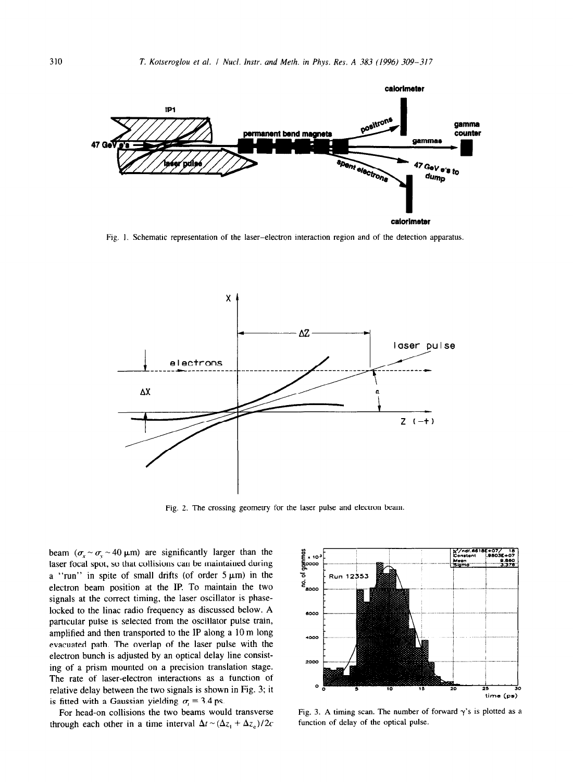

Fig. I, Schematic representation of the laser-electron interaction region and of the detection apparatus.



Fig. 2. The crossing geometry for the laser pulse and electron beam.

beam  $(\sigma_x \sim \sigma_y \sim 40 \,\mu\text{m})$  are significantly larger than the laser focal spot, so that collisions can be maintained during a "run" in spite of small drifts (of order  $5 \mu m$ ) in the electron beam position at the IP. To maintain the two signals at the correct timing, the laser oscillator is phaselocked to the linac radio frequency as discussed below. A particular pulse is selected from the oscillator pulse train, amplified and then transported to the IP along a IO m long evacuated path. The overlap of the laser pulse with the electron bunch is adjusted by an optical delay line consisting of a prism mounted on a precision translation stage. The rate of laser-electron interactions as a function of relative delay between the two signals is shown in Fig. 3; it is fitted with a Gaussian yielding  $\sigma$ , = 3.4 ps.

For head-on collisions the two beams would transverse through each other in a time interval  $\Delta t \sim (\Delta z_1 + \Delta z_c)/2c$ 



Fig. 3. A timing scan. The number of forward  $\gamma$ 's is plotted as a function of delay of the optical pulse.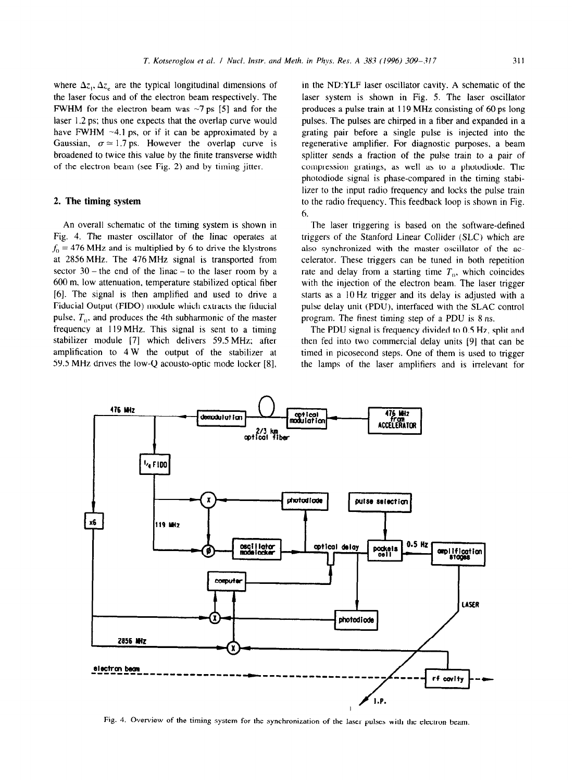where  $\Delta z_1$ ,  $\Delta z_2$  are the typical longitudinal dimensions of the laser focus and of the electron beam respectively. The FWHM for the electron beam was  $\sim$ 7 ps [5] and for the laser 1.2 ps; thus one expects that the overlap curve would have FWHM  $\sim$ 4.1 ps, or if it can be approximated by a Gaussian,  $\sigma \approx 1.7$  ps. However the overlap curve is broadened to twice this value by the finite transverse width of the electron beam (see Fig. 2) and by timing jitter.

## 2. **The timing system**

An overall schematic of the timing system is shown in Fig. 4. The master oscillator of the linac operates at  $f_0$  = 476 MHz and is multiplied by 6 to drive the klystrons at 2856MHz. The 476MHz signal is transported from sector  $30$  – the end of the linac – to the laser room by a 600 m, low attenuation, temperature stabilized optical fiber [6]. The signal is then amplified and used to drive a Fiducial Output (FIDO) module which extracts the fiducial pulse,  $T<sub>0</sub>$ , and produces the 4th subharmonic of the master frequency at 119 MHz. This signal is sent to a timing stabilizer module [7] which delivers 59.5 MHz: after amplification to 4 W the output of the stabilizer at 59.5 MHz drives the low-Q acousto-optic mode locker [8],

**in** the ND:YLF laser oscillator cavity. A schematic of the laser system is shown in Fig. 5. The laser oscillator produces a pulse train at 119 MHz consisting of 60 ps long pulses. The pulses are chirped in a fiber and expanded in a grating pair before a single pulse is injected into the regenerative amplifier. For diagnostic purposes, a beam splitter sends a fraction of the pulse train to a pair of compression gratings, as well as to a photodiode. The photodiode signal is phase-compared in the timing stabilizer to the input radio frequency and locks the pulse train to the radio frequency. This feedback loop is shown in Fig. 6.

The laser triggering is based on the software-defined triggers of the Stanford Linear Collider (SLC) which are also synchronized with the master oscillator of the accelerator. These triggers can be tuned in both repetition rate and delay from a starting time  $T<sub>0</sub>$ , which coincides with the injection of the electron beam. The laser trigger starts as a 10 Hz trigger and its delay is adjusted with a pulse delay unit (PDU), interfaced with the SLAC control program. The finest timing step of a PDU is 8 ns.

The PDU signal is frequency divided to 0.5 Hz, split and then fed into two commercial delay units [9] that can be timed in picosecond steps. One of them is used to trigger the lamps of the laser amplifiers and is irrelevant for



Fig. 4. Overview of the timing system for the synchronization of the laser pulses with the electron beam.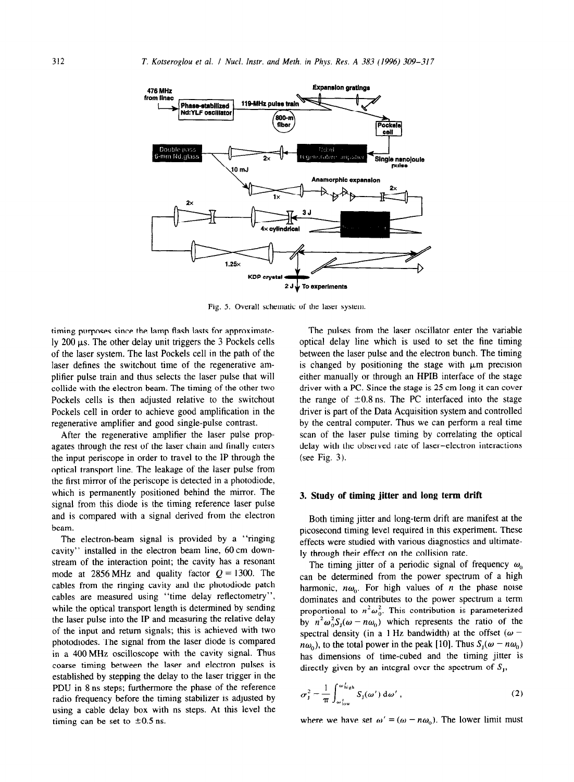

Fig. 5. Overall schematic of the laser system.

timing purposes since the lamp flash lasts for approximately  $200 \mu s$ . The other delay unit triggers the 3 Pockels cells of the laser system. The last Pockels cell in the path of the laser defines the switchout time of the regenerative amplifier pulse train and thus selects the laser pulse that will collide with the electron beam. The timing of the other two Pockels cells is then adjusted relative to the switchout Pockels cell in order to achieve good amplification in the regenerative amplifier and good single-pulse contrast.

After the regenerative amplifier the laser pulse propagates through the rest of the laser chain and finally enters the input periscope in order to travel to the IP through the optical transport line. The leakage of the laser pulse from the first mirror of the periscope is detected in a photodiode, which is permanently positioned behind the mirror. The signal from this diode is the timing reference laser pulse and is compared with a signal derived from the electron beam.

The electron-beam signal is provided by a "ringing cavity" installed in the electron beam line, 60cm downstream of the interaction point; the cavity has a resonant mode at 2856 MHz and quality factor  $Q = 1300$ . The cables from the ringing cavity and the photodiode patch cables are measured using "time delay reflectometry". while the optical transport length is determined by sending the laser pulse into the IP and measuring the relative delay of the input and return signals; this is achieved with two photodiodes. The signal from the laser diode is compared in a 400 MHz oscilloscope with the cavity signal. Thus coarse timing between the laser and electron pulses is established by stepping the delay to the laser trigger in the PDU in 8 ns steps; furthermore the phase of the reference radio frequency before the timing stabilizer is adjusted by using a cable delay box with ns steps. At this level the timing can be set to  $\pm 0.5$  ns.

The pulses from the laser oscillator enter the variable optical delay line which is used to set the fine timing between the laser pulse and the electron bunch. The timing is changed by positioning the stage with  $\mu$ m precision either manually or through an HPIB interface of the stage driver with a PC. Since the stage is 25 cm long it can cover the range of  $\pm 0.8$  ns. The PC interfaced into the stage driver is part of the Data Acquisition system and controlled by the central computer. Thus we can perform a real time scan of the laser pulse timing by correlating the optical delay with the observed rate of laser-electron interactions (see Fig. 3).

#### 3. **Study of timing jitter and long term drift**

Both timing jitter and long-term drift are manifest at the picosecond timing level required in this experiment. These effects were studied with various diagnostics and ultimately through their effect on the collision rate.

The timing jitter of a periodic signal of frequency  $\omega_0$ can be determined from the power spectrum of a high harmonic,  $n\omega_0$ . For high values of *n* the phase noise dominates and contributes to the power spectrum a term proportional to  $n^2\omega_0^2$ . This contribution is parameterized by  $n^2 \omega_0^2 S_{\rm r}(\omega - n\omega_0)$  which represents the ratio of the spectral density (in a 1 Hz bandwidth) at the offset ( $\omega$   $n\omega_0$ , to the total power in the peak [10]. Thus  $S_1(\omega - n\omega_0)$ has dimensions of time-cubed and the timing jitter is directly given by an integral over the spectrum of  $S<sub>1</sub>$ ,

$$
\sigma_{\rm J}^2 = \frac{1}{\pi} \int_{\omega_{\rm low}}^{\omega_{\rm high}'} S_{\rm J}(\omega') \, \mathrm{d}\omega', \qquad (2)
$$

where we have set  $\omega' = (\omega - n\omega_0)$ . The lower limit must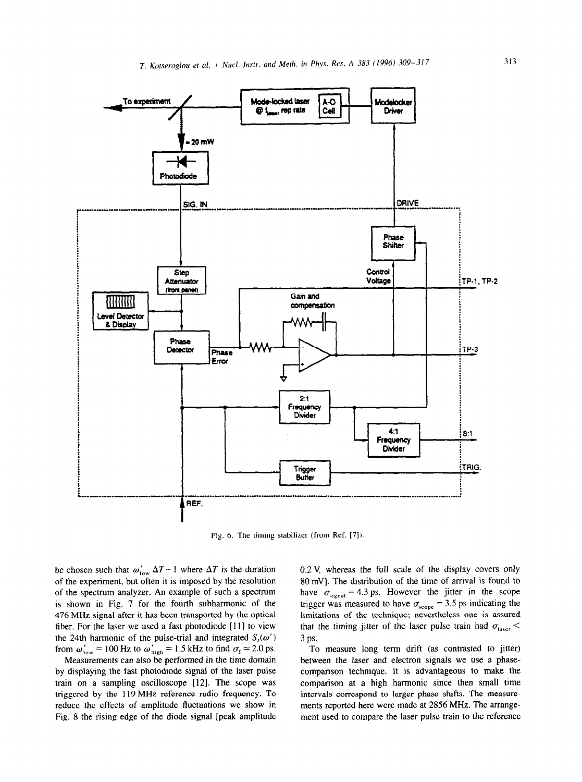

Fig. 6. The timing stabilizer (from Ref. [7]).

be chosen such that  $\omega'_{\text{low}} \Delta T \sim 1$  where  $\Delta T$  is the duration of the experiment, but often it is imposed by the resolution of the spectrum analyzer. An example of such a spectrum is shown in Fig. 7 for the fourth subharmonic of the 476 MHz signal after it has been transported by the optical fiber. For the laser we used a fast photodiode [11] to view the 24th harmonic of the pulse-trial and integrated  $S_1(\omega')$ from  $\omega'_{\text{low}} = 100 \text{ Hz}$  to  $\omega'_{\text{high}} = 1.5 \text{ kHz}$  to find  $\sigma_{\text{J}} \approx 2.0 \text{ ps}$ .

Measurements can also be performed in the time domain by displaying the fast photodiode signal of the laser pulse train on a sampling oscilloscope [12]. The scope was triggered by the 119 MHz reference radio frequency. To reduce the effects of amplitude fluctuations we show in Fig. 8 the rising edge of the diode signal [peak amplitude

0.2 V, whereas the full scale of the display covers only 80 mV]. The distribution of the time of arrival is found to have  $\sigma_{signal} = 4.3 \text{ ps.}$  However the jitter in the scope trigger was measured to have  $\sigma_{\text{scope}} = 3.5$  ps indicating the limitations of the technique; nevertheless one is assured that the timing jitter of the laser pulse train had  $\sigma_{\text{laser}}$ 3 ps.

To measure long term drift (as contrasted to jitter) between the laser and electron signals we use a phasecomparison technique. It is advantageous to make the comparison at a high harmonic since then small time intervals correspond to larger phase shifts. The measurements reported here were made at 2856 MHz. The arrangement used to compare the laser pulse train to the reference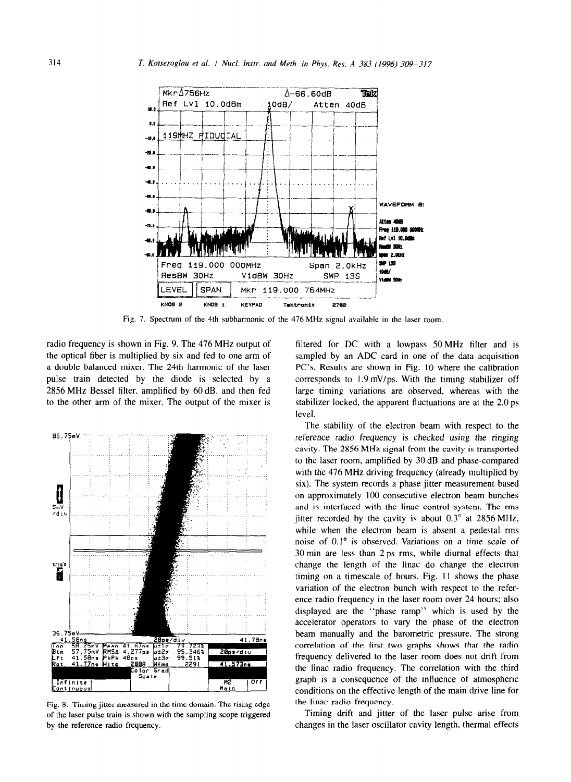

Fig. 7. Spectrum of the 4th subharmonic of the 476MHz signal available in the laser room.

radio frequency is shown in Fig. 9. The 476 MHz output of the optical fiber is multiplied by six and fed to one arm of a double balanced mixer. The 24th harmonic of the laser pulse train detected by the diode is selected by a 2856 MHz Bessel filter, amplified by 60 dB, and then fed to the other arm of the mixer. The output of the mixer is



Fig. 8. Timing jitter measured in the time domain. The rising edge of the laser pulse train is shown with the sampling scope triggered by the reference radio frequency.

filtered for DC with a lowpass 50MHz filter and is sampled by an ADC card in one of the data acquisition PC's. Results are shown in Fig. 10 where the calibration corresponds to 1.9 mV/ps. With the timing stabilizer off large timing variations are observed, whereas with the stabilizer locked, the apparent fluctuations are at the 2.0 ps level.

The stability of the electron beam with respect to the reference radio frequency is checked using the ringing cavity. The 2856 MHz signal from the cavity is transported to the laser room, amplified by 30 dB and phase-compared with the 476 MHz driving frequency (already multiplied by six). The system records a phase jitter measurement based on approximately 100 consecutive electron beam bunches and is interfaced with the linac control system. The rms jitter recorded by the cavity is about  $0.3^{\circ}$  at 2856 MHz, while when the electron beam is absent a pedestal rms noise of 0.1' is observed. Variations on a time scale *of*  30 min are less than 2 ps rms, while diurnal effects that change the length of the linac do change the electron timing on a timescale of hours. Fig. 11 shows the phase variation of the electron bunch with respect to the reference radio frequency in the laser room over 24 hours; also displayed are the "phase ramp" which is used by the accelerator operators to vary the phase of the electron beam manually and the barometric pressure. The strong correlation of the first two graphs shows that the radio frequency delivered to the laser room does not drift from the linac radio frequency. The correlation with the third graph is a consequence of the influence of atmospheric conditions on the effective length of the main drive line for the linac radio frequency.

Timing drift and jitter of the laser pulse arise from changes in the laser oscillator cavity length, thermal effects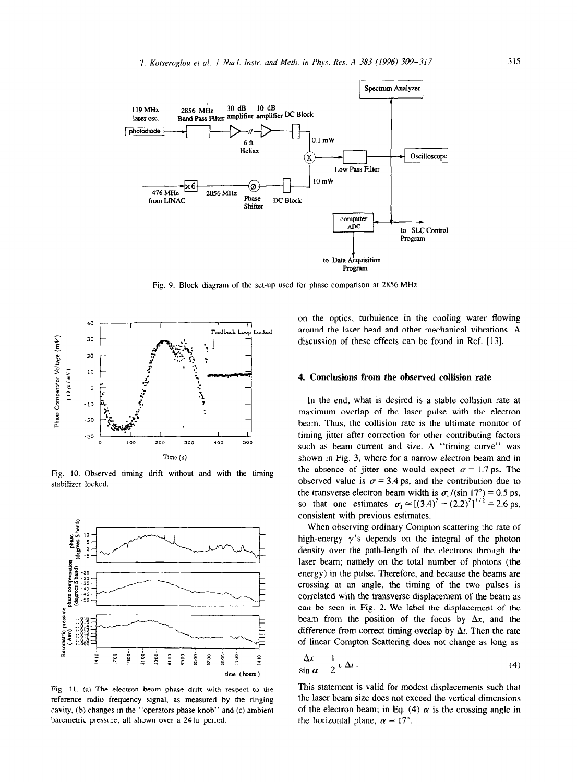

Fig. 9. Block diagram of the set-up used for phase comparison at 2856MHz



Fig. 10. Observed timing drift without and with the timing stabilizer locked.



Fig. 11. (a) The electron beam phase drift with respect to the reference radio frequency signal, as measured by the tinging cavity, (b) changes in the "operators phase knob" and (c) ambient barometric pressure; all shown over a 24 hr period.

on the optics, turbulence in the cooling water flowing around the laser head and other mechanical vibrations. A discussion of these effects can be found in Ref. [13].

## 4. **Conclusions from the observed collision rate**

In the end, what is desired is a stable collision rate at maximum overlap of the laser pulse with the electron beam. Thus, the collision rate is the ultimate monitor of timing jitter after correction for other contributing factors such as beam current and size. A "timing curve" was shown in Fig. 3, where for a narrow electron beam and in the absence of jitter one would expect  $\sigma = 1.7$  ps. The observed value is  $\sigma = 3.4$  ps, and the contribution due to the transverse electron beam width is  $\sigma_r / (\sin 17^\circ) = 0.5$  ps, so that one estimates  $\sigma_1 \approx [(3.4)^2 - (2.2)^2]^{1/2} = 2.6$  ps, consistent with previous estimates.

When observing ordinary Compton scattering the rate of high-energy  $\gamma$ 's depends on the integral of the photon density over the path-length of the electrons through the laser beam; namely on the total number of photons (the energy) in the pulse. Therefore, and because the beams are crossing at an angle, the timing of the two pulses is correlated with the transverse displacement of the beam as can be seen in Fig. 2. We label the displacement of the beam from the position of the focus by  $\Delta x$ , and the difference from correct timing overlap by  $\Delta t$ . Then the rate of linear Compton Scattering does not change as long as

$$
\frac{\Delta x}{\sin \alpha} = \frac{1}{2} c \, \Delta t \,. \tag{4}
$$

This statement is valid for modest displacements such that the laser beam size does not exceed the vertical dimensions of the electron beam; in Eq. (4)  $\alpha$  is the crossing angle in the horizontal plane,  $\alpha = 17^{\circ}$ .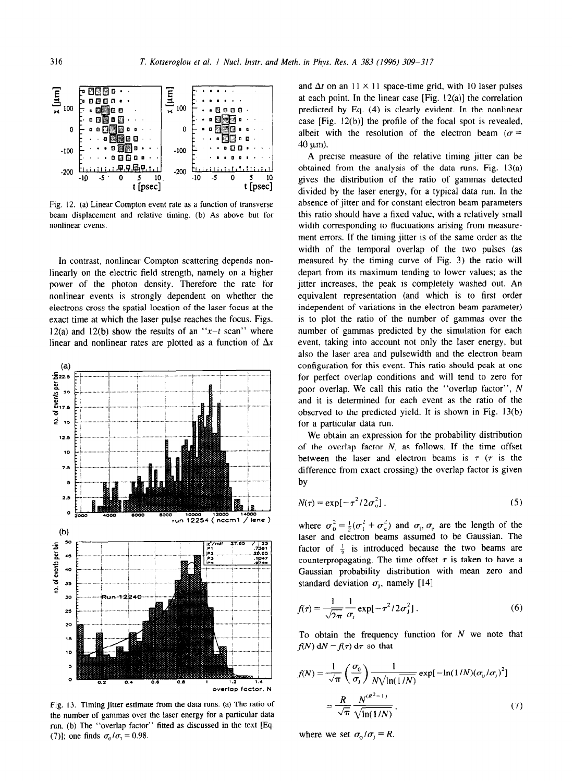

Fig. 12. (a) Linear Compton event rate as a function of transverse beam displacement and relative timing. (b) As above but for nonlinear events.

In contrast, nonlinear Compton scattering depends nonlinearly on the electric field strength, namely on a higher power of the photon density. Therefore the rate for nonlinear events is strongly dependent on whether the electrons cross the spatial location of the laser focus at the exact time at which the laser pulse reaches the focus. Figs. 12(a) and 12(b) show the results of an  $x-t$  scan<sup>\*</sup> where linear and nonlinear rates are plotted as a function of  $\Delta x$ 



Fig. 13. Timing jitter estimate from the data runs. (a) The ratio of the number of gammas over the laser energy for a particular data run. (b) The "overlap factor" fitted as discussed in the text [Eq. (7)]; one finds  $\sigma_0/\sigma_1 = 0.98$ .

and  $\Delta t$  on an  $11 \times 11$  space-time grid, with 10 laser pulses at each point. In the linear case  $[Fig. 12(a)]$  the correlation predicted by Eq. (4) is clearly evident. In the nonlinear case [Fig. 12(b)] the profile of the focal spot is revealed, albeit with the resolution of the electron beam ( $\sigma$  =  $40 \mu m$ ).

A precise measure of the relative timing jitter can be obtained from the analysis of the data runs. Fig. 13(a) gives the distribution of the ratio of gammas detected divided by the laser energy, for a typical data run. In the absence of jitter and for constant electron beam parameters this ratio should have a fixed value, with a relatively small width corresponding to fluctuations arising from measurement errors. If the timing jitter is of the same order as the width of the temporal overlap of the two pulses (as measured by the timing curve of Fig. 3) the ratio will depart from its maximum tending to lower values: as the jitter increases, the peak is completely washed out. An equivalent representation (and which is to first order independent of variations in the electron beam parameter) is to plot the ratio of the number of gammas over the number of gammas predicted by the simulation for each event, taking into account not only the laser energy, but also the laser area and pulsewidth and the electron beam configuration for this event. This ratio should peak at one for perfect overlap conditions and will tend to zero for poor overlap. We call this ratio the "overlap factor", N and it is determined for each event as the ratio of the observed to the predicted yield. It is shown in Fig. 13(b) for a particular data run.

We obtain an expression for the probability distribution of the overlap factor  $N$ , as follows. If the time offset between the laser and electron beams is  $\tau$  ( $\tau$  is the difference from exact crossing) the overlap factor is given by

$$
N(\tau) = \exp[-\tau^2/2\sigma_0^2],\tag{5}
$$

where  $\sigma_0^2 = \frac{1}{2} (\sigma_1^2 + \sigma_e^2)$  and  $\sigma_1$ ,  $\sigma_e$  are the length of the laser and electron beams assumed to be Gaussian. The factor of  $\frac{1}{2}$  is introduced because the two beams are counterpropagating. The time offset  $\tau$  is taken to have a Gaussian probability distribution with mean zero and standard deviation  $\sigma_i$ , namely [14]

$$
f(\tau) = \frac{1}{\sqrt{2\pi}} \frac{1}{\sigma_j} \exp[-\tau^2/2\sigma_j^2].
$$
 (6)

To obtain the frequency function for  $N$  we note that  $f(N) dN = f(\tau) d\tau$  so that

$$
f(N) = \frac{1}{\sqrt{\pi}} \left( \frac{\sigma_0}{\sigma_1} \right) \frac{1}{N \sqrt{\ln(1/N)}} \exp[-\ln(1/N)(\sigma_0/\sigma_1)^2]
$$

$$
= \frac{R}{\sqrt{\pi}} \frac{N^{(R^2-1)}}{\sqrt{\ln(1/N)}}.
$$
(7)

where we set  $\sigma_0/\sigma_1 = R$ .